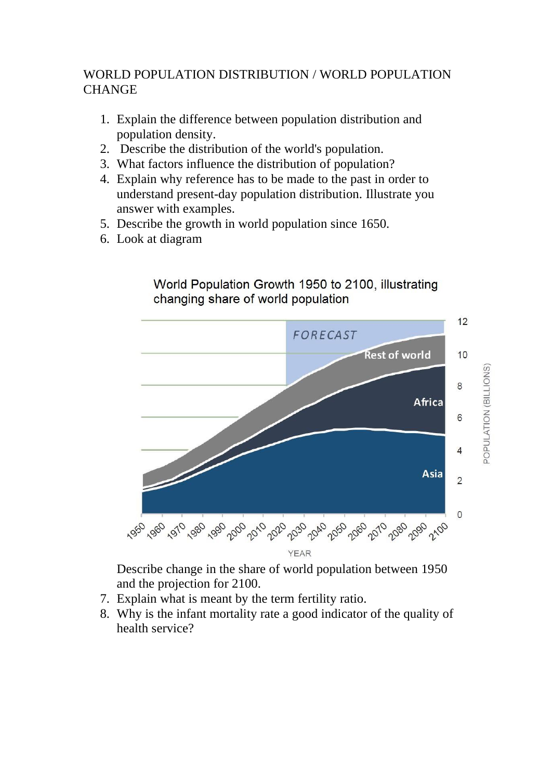## WORLD POPULATION DISTRIBUTION / WORLD POPULATION **CHANGE**

- 1. Explain the difference between population distribution and population density.
- 2. Describe the distribution of the world's population.
- 3. What factors influence the distribution of population?
- 4. Explain why reference has to be made to the past in order to understand present-day population distribution. Illustrate you answer with examples.
- 5. Describe the growth in world population since 1650.
- 6. Look at diagram





Describe change in the share of world population between 1950 and the projection for 2100.

- 7. Explain what is meant by the term fertility ratio.
- 8. Why is the infant mortality rate a good indicator of the quality of health service?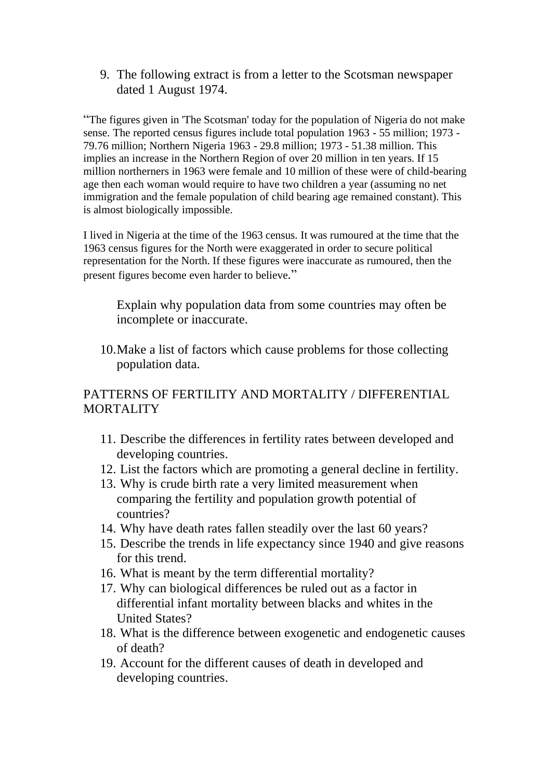9. The following extract is from a letter to the Scotsman newspaper dated 1 August 1974.

"The figures given in 'The Scotsman' today for the population of Nigeria do not make sense. The reported census figures include total population 1963 - 55 million; 1973 - 79.76 million; Northern Nigeria 1963 - 29.8 million; 1973 - 51.38 million. This implies an increase in the Northern Region of over 20 million in ten years. If 15 million northerners in 1963 were female and 10 million of these were of child-bearing age then each woman would require to have two children a year (assuming no net immigration and the female population of child bearing age remained constant). This is almost biologically impossible.

I lived in Nigeria at the time of the 1963 census. It was rumoured at the time that the 1963 census figures for the North were exaggerated in order to secure political representation for the North. If these figures were inaccurate as rumoured, then the present figures become even harder to believe."

Explain why population data from some countries may often be incomplete or inaccurate.

10.Make a list of factors which cause problems for those collecting population data.

## PATTERNS OF FERTILITY AND MORTALITY / DIFFERENTIAL MORTALITY

- 11. Describe the differences in fertility rates between developed and developing countries.
- 12. List the factors which are promoting a general decline in fertility.
- 13. Why is crude birth rate a very limited measurement when comparing the fertility and population growth potential of countries?
- 14. Why have death rates fallen steadily over the last 60 years?
- 15. Describe the trends in life expectancy since 1940 and give reasons for this trend.
- 16. What is meant by the term differential mortality?
- 17. Why can biological differences be ruled out as a factor in differential infant mortality between blacks and whites in the United States?
- 18. What is the difference between exogenetic and endogenetic causes of death?
- 19. Account for the different causes of death in developed and developing countries.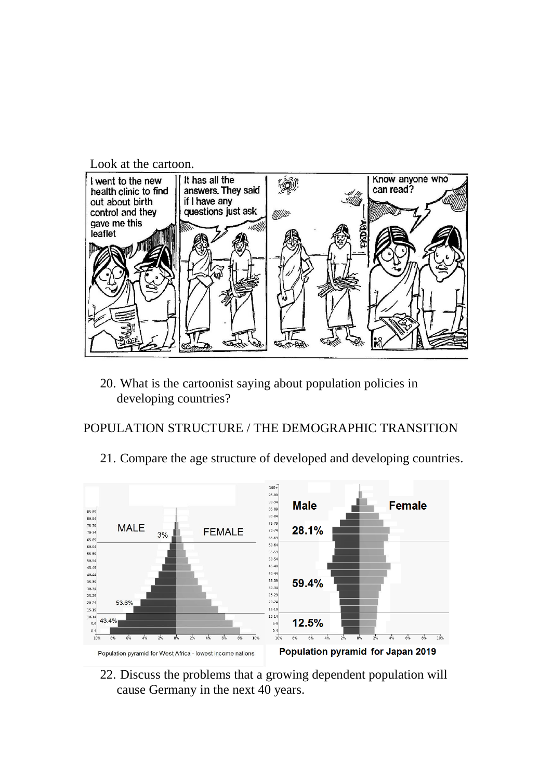Look at the cartoon.



20. What is the cartoonist saying about population policies in developing countries?

#### POPULATION STRUCTURE / THE DEMOGRAPHIC TRANSITION

21. Compare the age structure of developed and developing countries.



22. Discuss the problems that a growing dependent population will cause Germany in the next 40 years.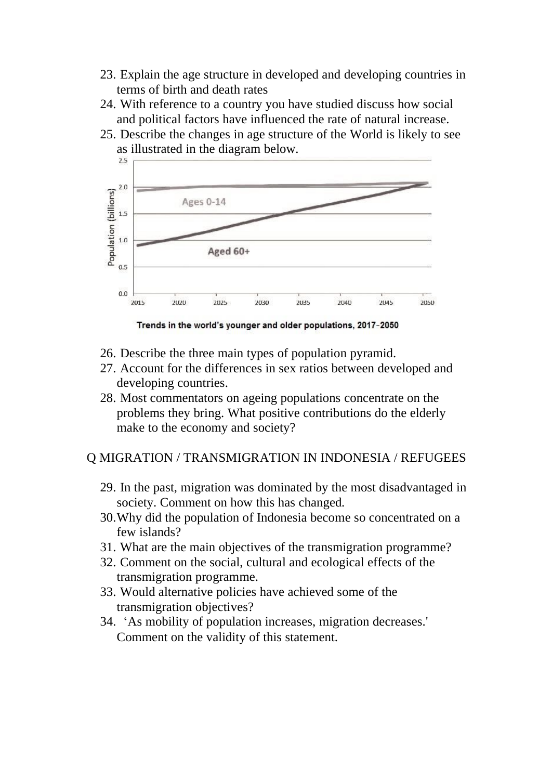- 23. Explain the age structure in developed and developing countries in terms of birth and death rates
- 24. With reference to a country you have studied discuss how social and political factors have influenced the rate of natural increase.
- 25. Describe the changes in age structure of the World is likely to see as illustrated in the diagram below.



Trends in the world's younger and older populations, 2017-2050

- 26. Describe the three main types of population pyramid.
- 27. Account for the differences in sex ratios between developed and developing countries.
- 28. Most commentators on ageing populations concentrate on the problems they bring. What positive contributions do the elderly make to the economy and society?

Q MIGRATION / TRANSMIGRATION IN INDONESIA / REFUGEES

- 29. In the past, migration was dominated by the most disadvantaged in society. Comment on how this has changed.
- 30.Why did the population of Indonesia become so concentrated on a few islands?
- 31. What are the main objectives of the transmigration programme?
- 32. Comment on the social, cultural and ecological effects of the transmigration programme.
- 33. Would alternative policies have achieved some of the transmigration objectives?
- 34. 'As mobility of population increases, migration decreases.' Comment on the validity of this statement.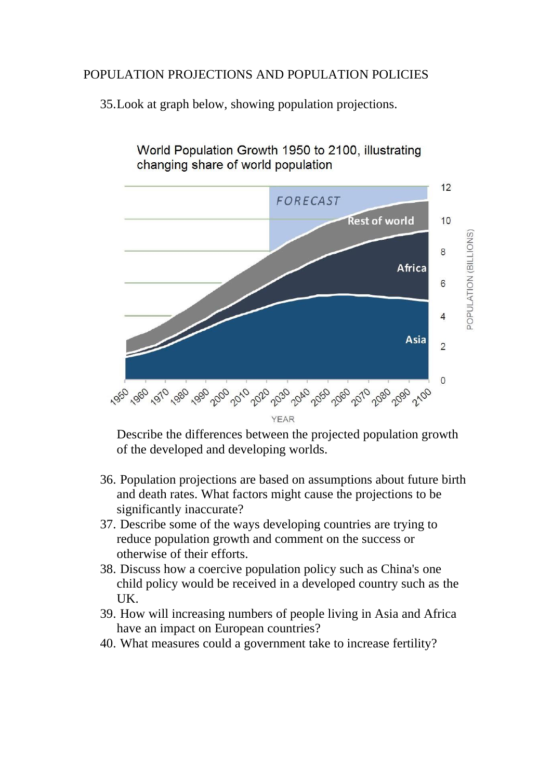## POPULATION PROJECTIONS AND POPULATION POLICIES

35.Look at graph below, showing population projections.



World Population Growth 1950 to 2100, illustrating changing share of world population

Describe the differences between the projected population growth of the developed and developing worlds.

- 36. Population projections are based on assumptions about future birth and death rates. What factors might cause the projections to be significantly inaccurate?
- 37. Describe some of the ways developing countries are trying to reduce population growth and comment on the success or otherwise of their efforts.
- 38. Discuss how a coercive population policy such as China's one child policy would be received in a developed country such as the UK.
- 39. How will increasing numbers of people living in Asia and Africa have an impact on European countries?
- 40. What measures could a government take to increase fertility?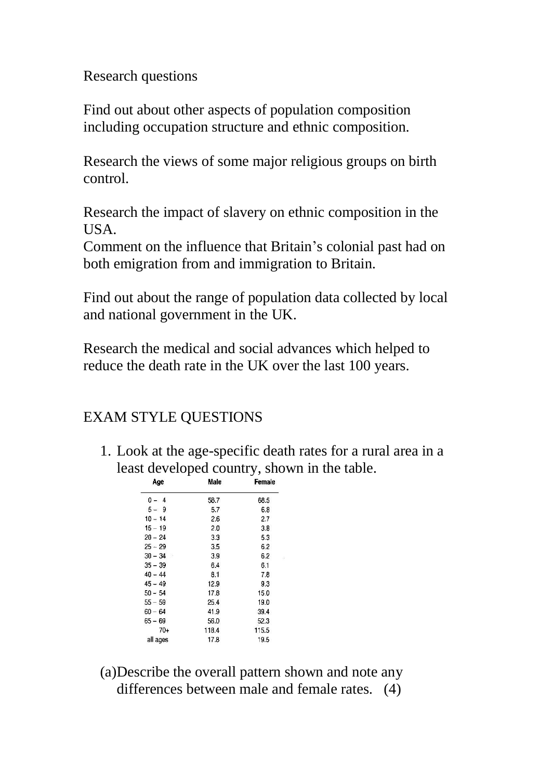Research questions

Find out about other aspects of population composition including occupation structure and ethnic composition.

Research the views of some major religious groups on birth control.

Research the impact of slavery on ethnic composition in the USA.

Comment on the influence that Britain's colonial past had on both emigration from and immigration to Britain.

Find out about the range of population data collected by local and national government in the UK.

Research the medical and social advances which helped to reduce the death rate in the UK over the last 100 years.

# EXAM STYLE QUESTIONS

1. Look at the age-specific death rates for a rural area in a least developed country, shown in the table.

| Age       | Male  | Female |
|-----------|-------|--------|
| $0 - 4$   | 58.7  | 68.5   |
| $5 - 9$   | 5.7   | 6.8    |
| $10 - 14$ | 2.6   | 2.7    |
| $15 - 19$ | 2.0   | 3.8    |
| $20 - 24$ | 3.3   | 5.3    |
| $25 - 29$ | 3.5   | 6.2    |
| $30 - 34$ | 3.9   | 6.2    |
| $35 - 39$ | 6.4   | 6.1    |
| $40 - 44$ | 8.1   | 7.8    |
| $45 - 49$ | 12.9  | 9.3    |
| 50 – 54   | 17.8  | 15.0   |
| $55 - 59$ | 25.4  | 19.0   |
| $60 - 64$ | 41.9  | 39.4   |
| 65 – 69   | 56.0  | 52.3   |
| 70-       | 118.4 | 115.5  |
| all ages  | 17.8  | 19.5   |
|           |       |        |

(a)Describe the overall pattern shown and note any differences between male and female rates. (4)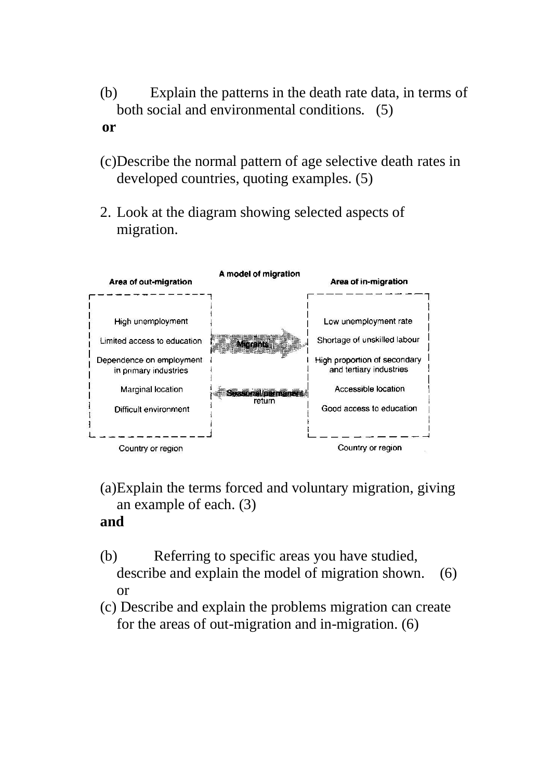- (b) Explain the patterns in the death rate data, in terms of both social and environmental conditions. (5)  **or**
- (c)Describe the normal pattern of age selective death rates in developed countries, quoting examples. (5)
- 2. Look at the diagram showing selected aspects of migration.



- (a)Explain the terms forced and voluntary migration, giving an example of each. (3) **and**
- (b) Referring to specific areas you have studied, describe and explain the model of migration shown. (6) or
- (c) Describe and explain the problems migration can create for the areas of out-migration and in-migration. (6)